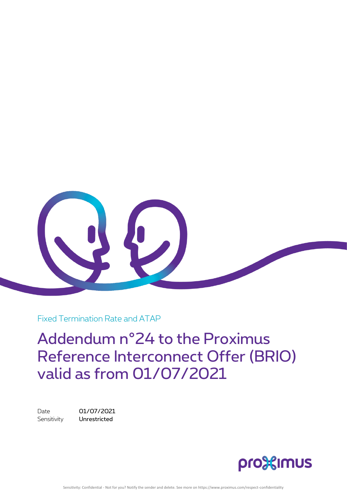

Fixed Termination Rate and ATAP

Addendum n°24 to the Proximus Reference Interconnect Offer (BRIO) valid as from 01/07/2021

Date 01/07/2021 Sensitivity **Unrestricted** 

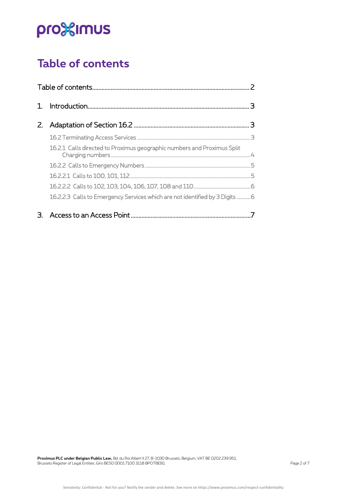## <span id="page-1-0"></span>**Table of contents**

| $\mathcal{L}$ |                                                                             |  |
|---------------|-----------------------------------------------------------------------------|--|
|               |                                                                             |  |
|               | 16.2.1 Calls directed to Proximus geographic numbers and Proximus Split     |  |
|               |                                                                             |  |
|               |                                                                             |  |
|               |                                                                             |  |
|               | 16.2.2.3 Calls to Emergency Services which are not identified by 3 Digits 6 |  |
|               |                                                                             |  |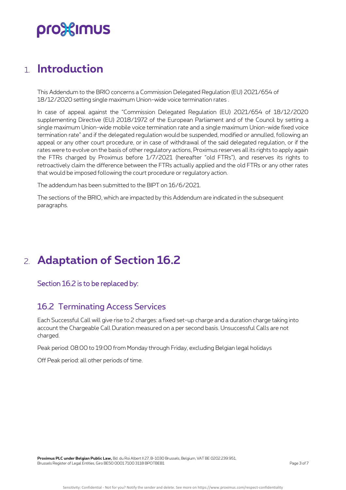## <span id="page-2-0"></span>1. **Introduction**

This Addendum to the BRIO concerns a Commission Delegated Regulation (EU) 2021/654 of 18/12/2020 setting single maximum Union-wide voice termination rates .

In case of appeal against the "Commission Delegated Regulation (EU) 2021/654 of 18/12/2020 supplementing Directive (EU) 2018/1972 of the European Parliament and of the Council by setting a single maximum Union-wide mobile voice termination rate and a single maximum Union-wide fixed voice termination rate" and if the delegated regulation would be suspended, modified or annulled, following an appeal or any other court procedure, or in case of withdrawal of the said delegated regulation, or if the rates were to evolve on the basis of other regulatory actions, Proximus reserves all its rights to apply again the FTRs charged by Proximus before 1/7/2021 (hereafter "old FTRs"), and reserves its rights to retroactively claim the difference between the FTRs actually applied and the old FTRs or any other rates that would be imposed following the court procedure or regulatory action.

The addendum has been submitted to the BIPT on 16/6/2021.

The sections of the BRIO, which are impacted by this Addendum are indicated in the subsequent paragraphs.

## <span id="page-2-1"></span>2. **Adaptation of Section 16.2**

<span id="page-2-2"></span>Section 16.2 is to be replaced by:

### 16.2 Terminating Access Services

Each Successful Call will give rise to 2 charges: a fixed set-up charge and a duration charge taking into account the Chargeable Call Duration measured on a per second basis. Unsuccessful Calls are not charged.

Peak period: 08:00 to 19:00 from Monday through Friday, excluding Belgian legal holidays

Off Peak period: all other periods of time.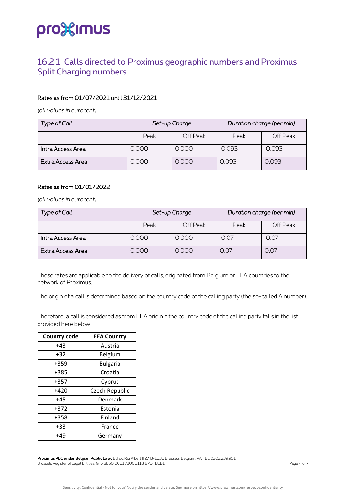### <span id="page-3-0"></span>16.2.1 Calls directed to Proximus geographic numbers and Proximus Split Charging numbers

#### Rates as from 01/07/2021 until 31/12/2021

*(all values in eurocent)*

| Type of Call      | Set-up Charge |          | Duration charge (per min) |          |
|-------------------|---------------|----------|---------------------------|----------|
|                   | Peak          | Off Peak | Peak                      | Off Peak |
| Intra Access Area | 0,000         | 0,000    | 0,093                     | 0,093    |
| Extra Access Area | 0,000         | 0,000    | 0.093                     | 0,093    |

#### Rates as from 01/01/2022

*(all values in eurocent)*

| <b>Type of Call</b> | Set-up Charge |          | Duration charge (per min) |          |
|---------------------|---------------|----------|---------------------------|----------|
|                     | Peak          | Off Peak | Peak                      | Off Peak |
| Intra Access Area   | 0,000         | 0,000    | 0,07                      | 0,07     |
| Extra Access Area   | 0,000         | 0,000    | O, O7                     | 0.07     |

These rates are applicable to the delivery of calls, originated from Belgium or EEA countries to the network of Proximus.

The origin of a call is determined based on the country code of the calling party (the so-called A number).

Therefore, a call is considered as from EEA origin if the country code of the calling party falls in the list provided here below

| <b>Country code</b> | <b>EEA Country</b> |
|---------------------|--------------------|
| $+43$               | Austria            |
| $+32$               | Belgium            |
| +359                | <b>Bulgaria</b>    |
| +385                | Croatia            |
| +357                | Cyprus             |
| +420                | Czech Republic     |
| $+45$               | Denmark            |
| +372                | Estonia            |
| +358                | Finland            |
| $+33$               | France             |
| $+49$               | Germany            |

**Proximus PLC under Belgian Public Law,** Bd. du Roi Albert II 27, B-1030 Brussels, Belgium, VAT BE 0202.239.951, Brussels Register of Legal Entities, Giro BE50 0001 7100 3118 BPOTBEB1 Page 4 of 7 Page 4 of 7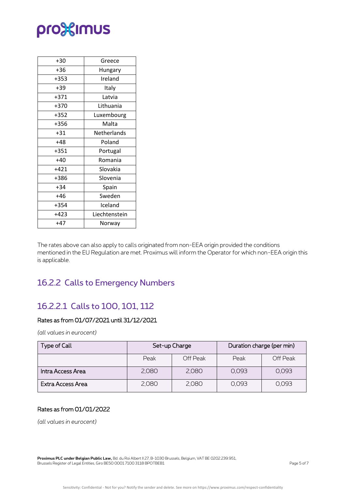| $+30$  | Greece        |
|--------|---------------|
| +36    | Hungary       |
| $+353$ | Ireland       |
| $+39$  | Italy         |
| $+371$ | Latvia        |
| +370   | Lithuania     |
| $+352$ | Luxembourg    |
| +356   | Malta         |
| $+31$  | Netherlands   |
| +48    | Poland        |
| +351   | Portugal      |
| $+40$  | Romania       |
| $+421$ | Slovakia      |
| +386   | Slovenia      |
| $+34$  | Spain         |
| +46    | Sweden        |
| $+354$ | Iceland       |
| $+423$ | Liechtenstein |
| $+47$  | Norway        |
|        |               |

The rates above can also apply to calls originated from non-EEA origin provided the conditions mentioned in the EU Regulation are met. Proximus will inform the Operator for which non-EEA origin this is applicable.

## <span id="page-4-0"></span>16.2.2 Calls to Emergency Numbers

### <span id="page-4-1"></span>16.2.2.1 Calls to 100, 101, 112

### Rates as from 01/07/2021 until 31/12/2021

*(all values in eurocent)*

| Type of Call      | Set-up Charge |          | Duration charge (per min) |          |
|-------------------|---------------|----------|---------------------------|----------|
|                   | Peak          | Off Peak | Peak                      | Off Peak |
| Intra Access Area | 2.080         | 2,080    | 0,093                     | 0,093    |
| Extra Access Area | 2.080         | 2,080    | 0,093                     | 0.093    |

### Rates as from 01/01/2022

*(all values in eurocent)*

**Proximus PLC under Belgian Public Law,** Bd. du Roi Albert II 27, B-1030 Brussels, Belgium, VAT BE 0202.239.951, Brussels Register of Legal Entities, Giro BE50 0001 7100 3118 BPOTBEB1 Page 5 of 7 and 2011 1997 Page 5 of 7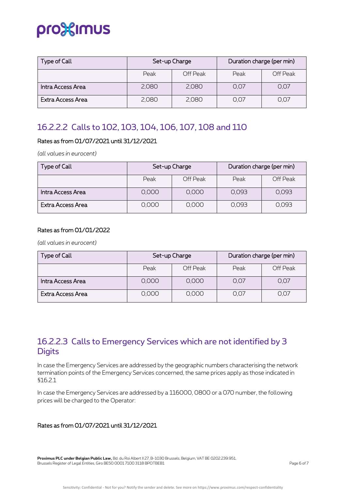## pro%imus

| Type of Call      | Set-up Charge |          | Duration charge (per min) |          |
|-------------------|---------------|----------|---------------------------|----------|
|                   | Peak          | Off Peak | Peak                      | Off Peak |
| Intra Access Area | 2,080         | 2,080    | 0,07                      | 0,07     |
| Extra Access Area | 2,080         | 2,080    | 0,07                      | 0,07     |

## <span id="page-5-0"></span>16.2.2.2 Calls to 102, 103, 104, 106, 107, 108 and 110

### Rates as from 01/07/2021 until 31/12/2021

*(all values in eurocent)*

| <b>Type of Call</b> | Set-up Charge |          | Duration charge (per min) |          |
|---------------------|---------------|----------|---------------------------|----------|
|                     | Peak          | Off Peak | Peak                      | Off Peak |
| Intra Access Area   | 0,000         | 0,000    | 0,093                     | 0,093    |
| Extra Access Area   | 0,000         | 0,000    | 0.093                     | 0,093    |

#### Rates as from 01/01/2022

*(all values in eurocent)*

| Type of Call      | Set-up Charge |          | Duration charge (per min) |          |
|-------------------|---------------|----------|---------------------------|----------|
|                   | Peak          | Off Peak | Peak                      | Off Peak |
| Intra Access Area | 0,000         | 0,000    | 0,07                      | 0,07     |
| Extra Access Area | 0,000         | 0,000    | O, O7                     | 0,07     |

## <span id="page-5-1"></span>16.2.2.3 Calls to Emergency Services which are not identified by 3 **Digits**

In case the Emergency Services are addressed by the geographic numbers characterising the network termination points of the Emergency Services concerned, the same prices apply as those indicated in §16.2.1

In case the Emergency Services are addressed by a 116000, 0800 or a 070 number, the following prices will be charged to the Operator:

### Rates as from 01/07/2021 until 31/12/2021

**Proximus PLC under Belgian Public Law,** Bd. du Roi Albert II 27, B-1030 Brussels, Belgium, VAT BE 0202.239.951, Brussels Register of Legal Entities, Giro BE50 0001 7100 3118 BPOTBEB1 Page 6 of 7